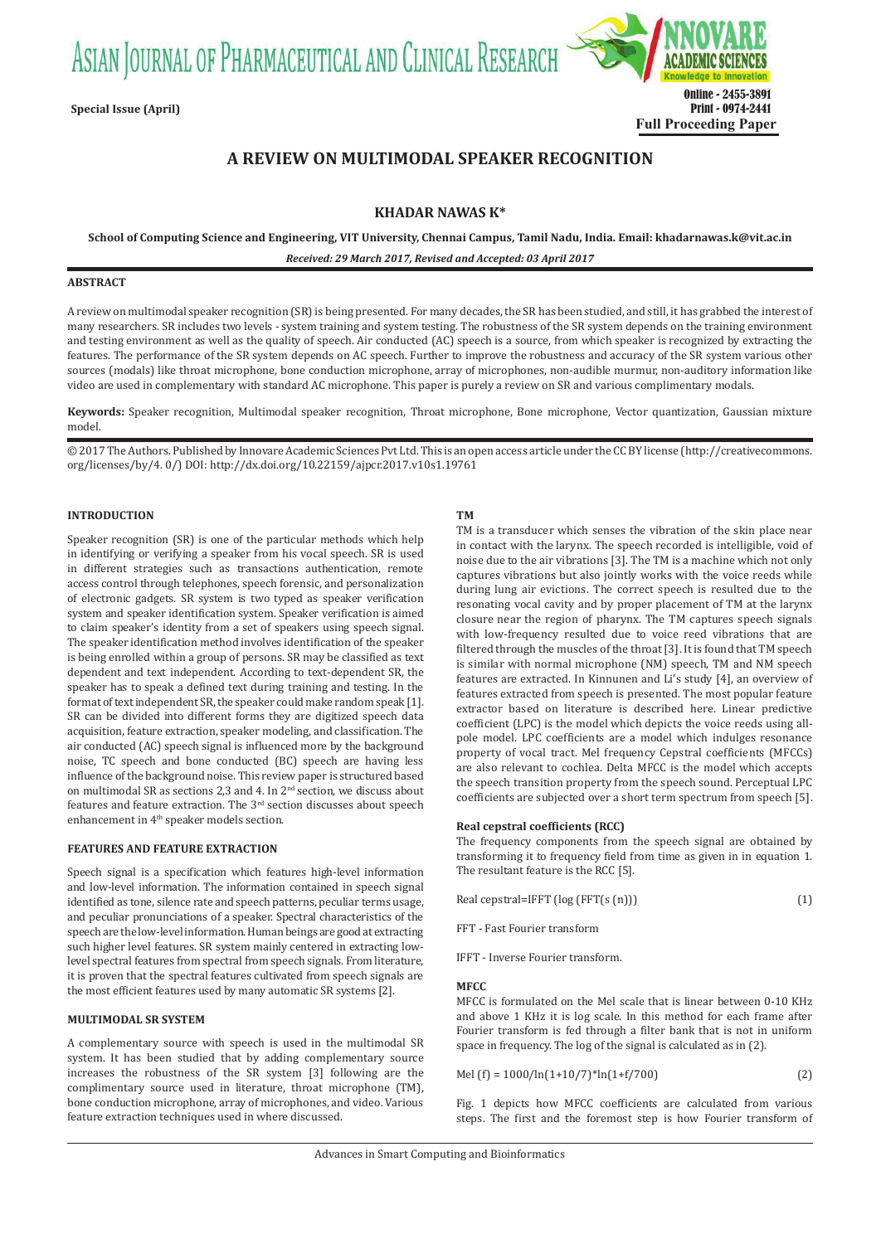ASIAN JOURNAL OF PHARMACEUTICAL AND CLINICAL RESEARCH



# **A REVIEW ON MULTIMODAL SPEAKER RECOGNITION**

## **KHADAR NAWAS K\***

**School of Computing Science and Engineering, VIT University, Chennai Campus, Tamil Nadu, India. Email: khadarnawas.k@vit.ac.in**

*Received: 29 March 2017, Revised and Accepted: 03 April 2017*

## **ABSTRACT**

A review on multimodal speaker recognition (SR) is being presented. For many decades, the SR has been studied, and still, it has grabbed the interest of many researchers. SR includes two levels - system training and system testing. The robustness of the SR system depends on the training environment and testing environment as well as the quality of speech. Air conducted (AC) speech is a source, from which speaker is recognized by extracting the features. The performance of the SR system depends on AC speech. Further to improve the robustness and accuracy of the SR system various other sources (modals) like throat microphone, bone conduction microphone, array of microphones, non-audible murmur, non-auditory information like video are used in complementary with standard AC microphone. This paper is purely a review on SR and various complimentary modals.

**Keywords:** Speaker recognition, Multimodal speaker recognition, Throat microphone, Bone microphone, Vector quantization, Gaussian mixture model.

© 2017 The Authors. Published by Innovare Academic Sciences Pvt Ltd. This is an open access article under the CC BY license (http://creativecommons. org/licenses/by/4. 0/) DOI: http://dx.doi.org/10.22159/ajpcr.2017.v10s1.19761

## **INTRODUCTION**

Speaker recognition (SR) is one of the particular methods which help in identifying or verifying a speaker from his vocal speech. SR is used in different strategies such as transactions authentication, remote access control through telephones, speech forensic, and personalization of electronic gadgets. SR system is two typed as speaker verification system and speaker identification system. Speaker verification is aimed to claim speaker's identity from a set of speakers using speech signal. The speaker identification method involves identification of the speaker is being enrolled within a group of persons. SR may be classified as text dependent and text independent. According to text-dependent SR, the speaker has to speak a defined text during training and testing. In the format of text independent SR, the speaker could make random speak [1]. SR can be divided into different forms they are digitized speech data acquisition, feature extraction, speaker modeling, and classification. The air conducted (AC) speech signal is influenced more by the background noise, TC speech and bone conducted (BC) speech are having less influence of the background noise. This review paper is structured based on multimodal SR as sections 2,3 and 4. In 2nd section, we discuss about features and feature extraction. The 3<sup>rd</sup> section discusses about speech enhancement in 4<sup>th</sup> speaker models section.

#### **FEATURES AND FEATURE EXTRACTION**

Speech signal is a specification which features high-level information and low-level information. The information contained in speech signal identified as tone, silence rate and speech patterns, peculiar terms usage, and peculiar pronunciations of a speaker. Spectral characteristics of the speech are the low-level information. Human beings are good at extracting such higher level features. SR system mainly centered in extracting lowlevel spectral features from spectral from speech signals. From literature, it is proven that the spectral features cultivated from speech signals are the most efficient features used by many automatic SR systems [2].

#### **MULTIMODAL SR SYSTEM**

A complementary source with speech is used in the multimodal SR system. It has been studied that by adding complementary source increases the robustness of the SR system [3] following are the complimentary source used in literature, throat microphone (TM), bone conduction microphone, array of microphones, and video. Various feature extraction techniques used in where discussed.

#### **TM**

TM is a transducer which senses the vibration of the skin place near in contact with the larynx. The speech recorded is intelligible, void of noise due to the air vibrations [3]. The TM is a machine which not only captures vibrations but also jointly works with the voice reeds while during lung air evictions. The correct speech is resulted due to the resonating vocal cavity and by proper placement of TM at the larynx closure near the region of pharynx. The TM captures speech signals with low-frequency resulted due to voice reed vibrations that are filtered through the muscles of the throat [3]. It is found that TM speech is similar with normal microphone (NM) speech, TM and NM speech features are extracted. In Kinnunen and Li's study [4], an overview of features extracted from speech is presented. The most popular feature extractor based on literature is described here. Linear predictive coefficient (LPC) is the model which depicts the voice reeds using allpole model. LPC coefficients are a model which indulges resonance property of vocal tract. Mel frequency Cepstral coefficients (MFCCs) are also relevant to cochlea. Delta MFCC is the model which accepts the speech transition property from the speech sound. Perceptual LPC coefficients are subjected over a short term spectrum from speech [5].

## **Real cepstral coefficients (RCC)**

The frequency components from the speech signal are obtained by transforming it to frequency field from time as given in in equation 1. The resultant feature is the RCC [5].

| Real cepstral=IFFT $\log$ (FFT $(s(n))$ ) |  |
|-------------------------------------------|--|
|                                           |  |

FFT - Fast Fourier transform

IFFT - Inverse Fourier transform.

#### **MFCC**

MFCC is formulated on the Mel scale that is linear between 0-10 KHz and above 1 KHz it is log scale. In this method for each frame after Fourier transform is fed through a filter bank that is not in uniform space in frequency. The log of the signal is calculated as in (2).

$$
Mel (f) = 1000/ln(1+10/7)*ln(1+f/700)
$$
 (2)

Fig. 1 depicts how MFCC coefficients are calculated from various steps. The first and the foremost step is how Fourier transform of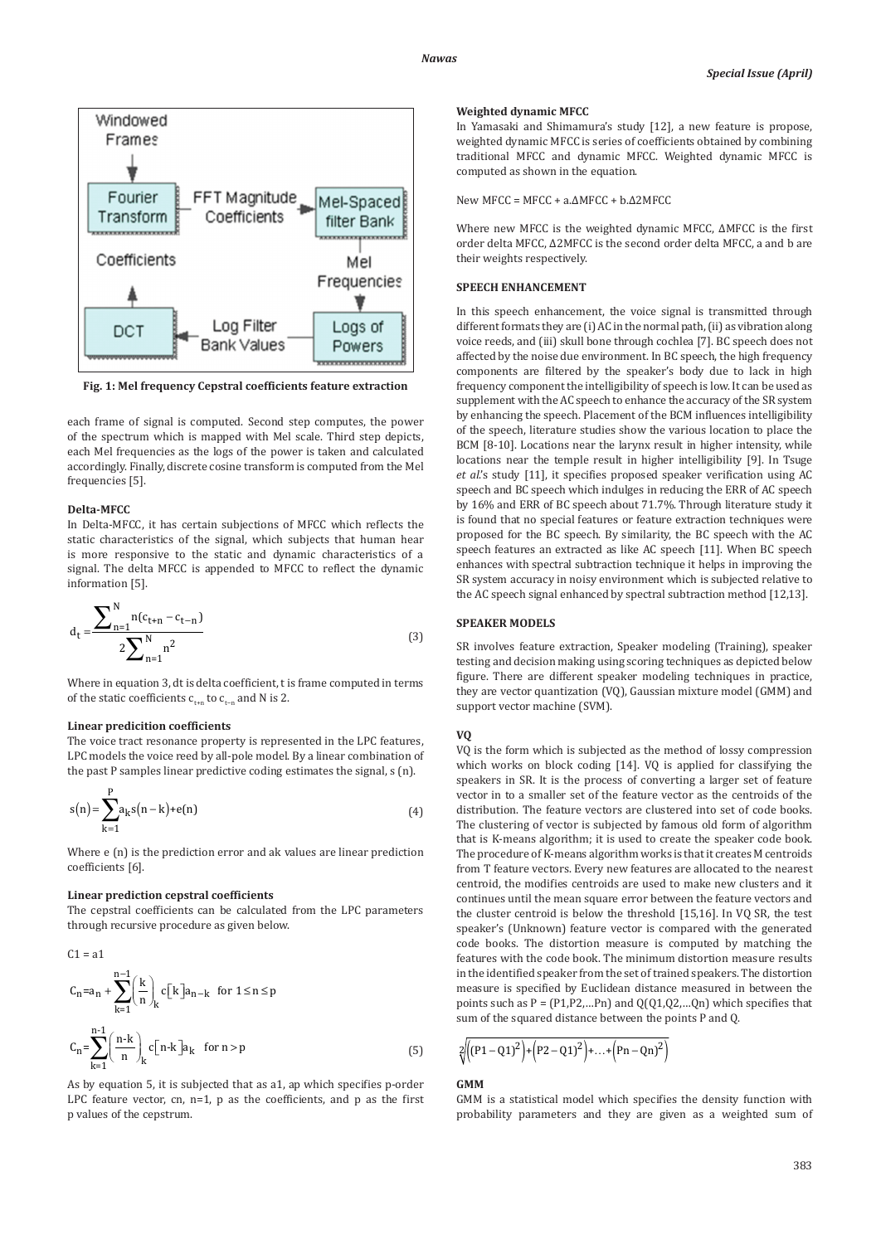

**Fig. 1: Mel frequency Cepstral coefficients feature extraction**

each frame of signal is computed. Second step computes, the power of the spectrum which is mapped with Mel scale. Third step depicts, each Mel frequencies as the logs of the power is taken and calculated accordingly. Finally, discrete cosine transform is computed from the Mel frequencies [5].

## **Delta-MFCC**

In Delta-MFCC, it has certain subjections of MFCC which reflects the static characteristics of the signal, which subjects that human hear is more responsive to the static and dynamic characteristics of a signal. The delta MFCC is appended to MFCC to reflect the dynamic information [5].

$$
d_{t} = \frac{\sum_{n=1}^{N} n(c_{t+n} - c_{t-n})}{2\sum_{n=1}^{N} n^{2}}
$$
(3)

Where in equation 3, dt is delta coefficient, t is frame computed in terms of the static coefficients  $c_{t+n}$  to  $c_{t-n}$  and N is 2.

#### **Linear predicition coefficients**

The voice tract resonance property is represented in the LPC features, LPC models the voice reed by all-pole model. By a linear combination of the past P samples linear predictive coding estimates the signal, s (n).

$$
s(n) = \sum_{k=1}^{P} a_k s(n-k) + e(n)
$$
 (4)

Where e (n) is the prediction error and ak values are linear prediction coefficients [6].

#### **Linear prediction cepstral coefficients**

The cepstral coefficients can be calculated from the LPC parameters through recursive procedure as given below.

C1 = a1  
\n
$$
C_{n} = a_{n} + \sum_{k=1}^{n-1} \left(\frac{k}{n}\right)_{k} c[k] a_{n-k} \text{ for } 1 \leq n \leq p
$$
\n
$$
C_{n} = \sum_{k=1}^{n-1} \left(\frac{n-k}{n}\right)_{k} c[n-k] a_{k} \text{ for } n > p
$$
\n(5)

As by equation 5, it is subjected that as a1, ap which specifies p-order LPC feature vector, cn,  $n=1$ ,  $p$  as the coefficients, and  $p$  as the first p values of the cepstrum.

#### **Weighted dynamic MFCC**

In Yamasaki and Shimamura's study [12], a new feature is propose, weighted dynamic MFCC is series of coefficients obtained by combining traditional MFCC and dynamic MFCC. Weighted dynamic MFCC is computed as shown in the equation.

New MFCC = MFCC + a.ΔMFCC + b.Δ2MFCC

Where new MFCC is the weighted dynamic MFCC, ΔMFCC is the first order delta MFCC, Δ2MFCC is the second order delta MFCC, a and b are their weights respectively.

## **SPEECH ENHANCEMENT**

In this speech enhancement, the voice signal is transmitted through different formats they are (i) AC in the normal path, (ii) as vibration along voice reeds, and (iii) skull bone through cochlea [7]. BC speech does not affected by the noise due environment. In BC speech, the high frequency components are filtered by the speaker's body due to lack in high frequency component the intelligibility of speech is low. It can be used as supplement with the AC speech to enhance the accuracy of the SR system by enhancing the speech. Placement of the BCM influences intelligibility of the speech, literature studies show the various location to place the BCM [8-10]. Locations near the larynx result in higher intensity, while locations near the temple result in higher intelligibility [9]. In Tsuge *et al*.'s study [11], it specifies proposed speaker verification using AC speech and BC speech which indulges in reducing the ERR of AC speech by 16% and ERR of BC speech about 71.7%. Through literature study it is found that no special features or feature extraction techniques were proposed for the BC speech. By similarity, the BC speech with the AC speech features an extracted as like AC speech [11]. When BC speech enhances with spectral subtraction technique it helps in improving the SR system accuracy in noisy environment which is subjected relative to the AC speech signal enhanced by spectral subtraction method [12,13].

### **SPEAKER MODELS**

SR involves feature extraction, Speaker modeling (Training), speaker testing and decision making using scoring techniques as depicted below figure. There are different speaker modeling techniques in practice, they are vector quantization (VQ), Gaussian mixture model (GMM) and support vector machine (SVM).

#### **VQ**

VQ is the form which is subjected as the method of lossy compression which works on block coding [14]. VQ is applied for classifying the speakers in SR. It is the process of converting a larger set of feature vector in to a smaller set of the feature vector as the centroids of the distribution. The feature vectors are clustered into set of code books. The clustering of vector is subjected by famous old form of algorithm that is K-means algorithm; it is used to create the speaker code book. The procedure of K-means algorithm works is that it creates M centroids from T feature vectors. Every new features are allocated to the nearest centroid, the modifies centroids are used to make new clusters and it continues until the mean square error between the feature vectors and the cluster centroid is below the threshold [15,16]. In VQ SR, the test speaker's (Unknown) feature vector is compared with the generated code books. The distortion measure is computed by matching the features with the code book. The minimum distortion measure results in the identified speaker from the set of trained speakers. The distortion measure is specified by Euclidean distance measured in between the points such as  $P = (P1, P2, ...Pn)$  and  $Q(Q1, Q2, ...Qn)$  which specifies that sum of the squared distance between the points P and Q.

$$
\sqrt[2]{((P1 - Q1)^2) + (P2 - Q1)^2} + ... + (Pn - Qn)^2
$$

#### **GMM**

GMM is a statistical model which specifies the density function with probability parameters and they are given as a weighted sum of